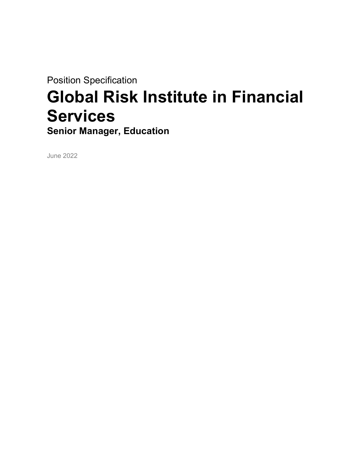Position Specification

# Global Risk Institute in Financial **Services** Senior Manager, Education

June 2022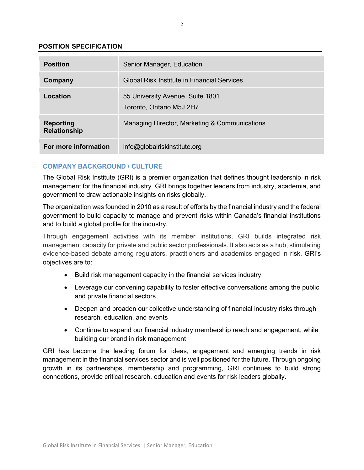## POSITION SPECIFICATION

| <b>Position</b>                         | Senior Manager, Education                                    |
|-----------------------------------------|--------------------------------------------------------------|
| Company                                 | Global Risk Institute in Financial Services                  |
| Location                                | 55 University Avenue, Suite 1801<br>Toronto, Ontario M5J 2H7 |
| <b>Reporting</b><br><b>Relationship</b> | Managing Director, Marketing & Communications                |
| For more information                    | info@globalriskinstitute.org                                 |

# COMPANY BACKGROUND / CULTURE

The Global Risk Institute (GRI) is a premier organization that defines thought leadership in risk management for the financial industry. GRI brings together leaders from industry, academia, and government to draw actionable insights on risks globally.

The organization was founded in 2010 as a result of efforts by the financial industry and the federal government to build capacity to manage and prevent risks within Canada's financial institutions and to build a global profile for the industry.

Through engagement activities with its member institutions, GRI builds integrated risk management capacity for private and public sector professionals. It also acts as a hub, stimulating evidence-based debate among regulators, practitioners and academics engaged in risk. GRI's objectives are to:

- Build risk management capacity in the financial services industry
- Leverage our convening capability to foster effective conversations among the public and private financial sectors
- Deepen and broaden our collective understanding of financial industry risks through research, education, and events
- Continue to expand our financial industry membership reach and engagement, while building our brand in risk management

GRI has become the leading forum for ideas, engagement and emerging trends in risk management in the financial services sector and is well positioned for the future. Through ongoing growth in its partnerships, membership and programming, GRI continues to build strong connections, provide critical research, education and events for risk leaders globally.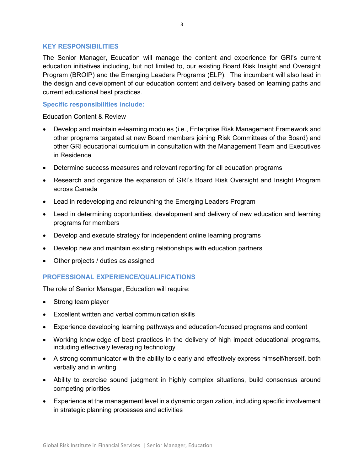## KEY RESPONSIBILITIES

The Senior Manager, Education will manage the content and experience for GRI's current education initiatives including, but not limited to, our existing Board Risk Insight and Oversight Program (BROIP) and the Emerging Leaders Programs (ELP). The incumbent will also lead in the design and development of our education content and delivery based on learning paths and current educational best practices.

# Specific responsibilities include:

Education Content & Review

- Develop and maintain e-learning modules (i.e., Enterprise Risk Management Framework and other programs targeted at new Board members joining Risk Committees of the Board) and other GRI educational curriculum in consultation with the Management Team and Executives in Residence
- Determine success measures and relevant reporting for all education programs
- Research and organize the expansion of GRI's Board Risk Oversight and Insight Program across Canada
- Lead in redeveloping and relaunching the Emerging Leaders Program
- Lead in determining opportunities, development and delivery of new education and learning programs for members
- Develop and execute strategy for independent online learning programs
- Develop new and maintain existing relationships with education partners
- Other projects / duties as assigned

# PROFESSIONAL EXPERIENCE/QUALIFICATIONS

The role of Senior Manager, Education will require:

- Strong team player
- Excellent written and verbal communication skills
- Experience developing learning pathways and education-focused programs and content
- Working knowledge of best practices in the delivery of high impact educational programs, including effectively leveraging technology
- A strong communicator with the ability to clearly and effectively express himself/herself, both verbally and in writing
- Ability to exercise sound judgment in highly complex situations, build consensus around competing priorities
- Experience at the management level in a dynamic organization, including specific involvement in strategic planning processes and activities